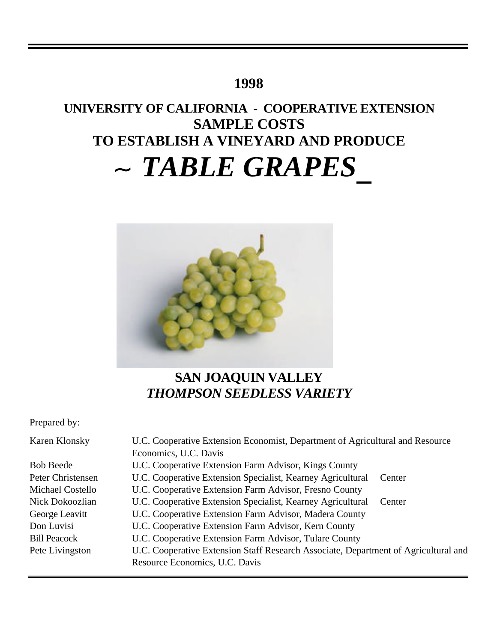# **1998**

# **UNIVERSITY OF CALIFORNIA - COOPERATIVE EXTENSION SAMPLE COSTS TO ESTABLISH A VINEYARD AND PRODUCE** *TABLE GRAPES*



# **SAN JOAQUIN VALLEY** *THOMPSON SEEDLESS VARIETY*

Prepared by:

| U.C. Cooperative Extension Economist, Department of Agricultural and Resource<br>Karen Klonsky |                                                                                     |  |  |  |
|------------------------------------------------------------------------------------------------|-------------------------------------------------------------------------------------|--|--|--|
|                                                                                                | Economics, U.C. Davis                                                               |  |  |  |
| <b>Bob Beede</b>                                                                               | U.C. Cooperative Extension Farm Advisor, Kings County                               |  |  |  |
| Peter Christensen                                                                              | U.C. Cooperative Extension Specialist, Kearney Agricultural<br>Center               |  |  |  |
| Michael Costello                                                                               | U.C. Cooperative Extension Farm Advisor, Fresno County                              |  |  |  |
| Nick Dokoozlian                                                                                | U.C. Cooperative Extension Specialist, Kearney Agricultural<br>Center               |  |  |  |
| George Leavitt                                                                                 | U.C. Cooperative Extension Farm Advisor, Madera County                              |  |  |  |
| Don Luvisi                                                                                     | U.C. Cooperative Extension Farm Advisor, Kern County                                |  |  |  |
| <b>Bill Peacock</b>                                                                            | U.C. Cooperative Extension Farm Advisor, Tulare County                              |  |  |  |
| Pete Livingston                                                                                | U.C. Cooperative Extension Staff Research Associate, Department of Agricultural and |  |  |  |
|                                                                                                | Resource Economics, U.C. Davis                                                      |  |  |  |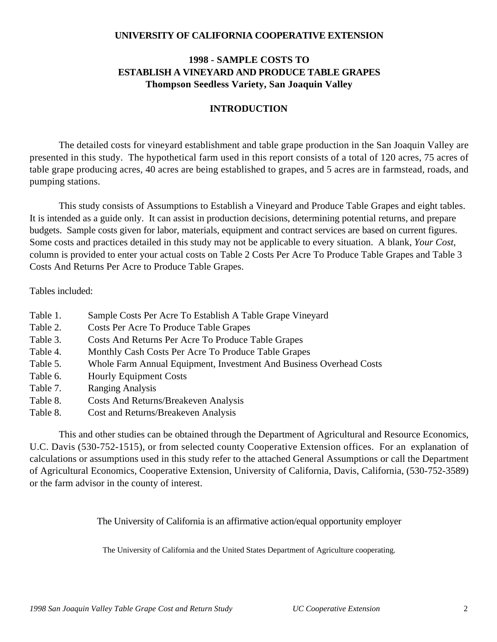# **UNIVERSITY OF CALIFORNIA COOPERATIVE EXTENSION**

# **1998 - SAMPLE COSTS TO ESTABLISH A VINEYARD AND PRODUCE TABLE GRAPES Thompson Seedless Variety, San Joaquin Valley**

# **INTRODUCTION**

The detailed costs for vineyard establishment and table grape production in the San Joaquin Valley are presented in this study. The hypothetical farm used in this report consists of a total of 120 acres, 75 acres of table grape producing acres, 40 acres are being established to grapes, and 5 acres are in farmstead, roads, and pumping stations.

This study consists of Assumptions to Establish a Vineyard and Produce Table Grapes and eight tables. It is intended as a guide only. It can assist in production decisions, determining potential returns, and prepare budgets. Sample costs given for labor, materials, equipment and contract services are based on current figures. Some costs and practices detailed in this study may not be applicable to every situation. A blank, *Your Cost,* column is provided to enter your actual costs on Table 2 Costs Per Acre To Produce Table Grapes and Table 3 Costs And Returns Per Acre to Produce Table Grapes.

### Tables included:

- Table 1. Sample Costs Per Acre To Establish A Table Grape Vineyard
- Table 2. Costs Per Acre To Produce Table Grapes
- Table 3. Costs And Returns Per Acre To Produce Table Grapes
- Table 4. Monthly Cash Costs Per Acre To Produce Table Grapes
- Table 5. Whole Farm Annual Equipment, Investment And Business Overhead Costs
- Table 6. Hourly Equipment Costs
- Table 7. Ranging Analysis
- Table 8. Costs And Returns/Breakeven Analysis
- Table 8. Cost and Returns/Breakeven Analysis

This and other studies can be obtained through the Department of Agricultural and Resource Economics, U.C. Davis (530-752-1515), or from selected county Cooperative Extension offices. For an explanation of calculations or assumptions used in this study refer to the attached General Assumptions or call the Department of Agricultural Economics, Cooperative Extension, University of California, Davis, California, (530-752-3589) or the farm advisor in the county of interest.

The University of California is an affirmative action/equal opportunity employer

The University of California and the United States Department of Agriculture cooperating.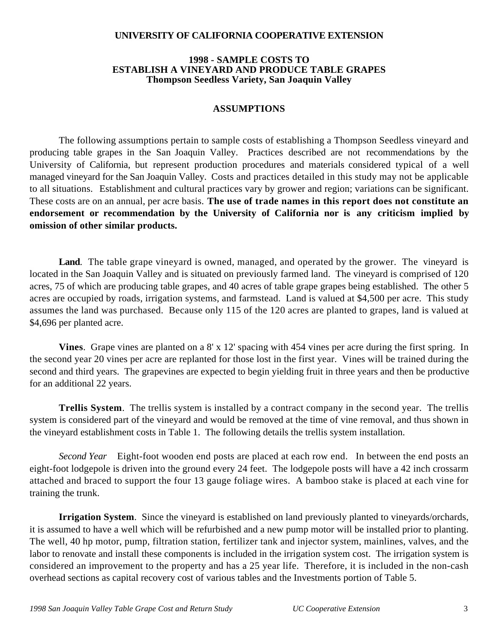# **UNIVERSITY OF CALIFORNIA COOPERATIVE EXTENSION**

### **1998 - SAMPLE COSTS TO ESTABLISH A VINEYARD AND PRODUCE TABLE GRAPES Thompson Seedless Variety, San Joaquin Valley**

# **ASSUMPTIONS**

The following assumptions pertain to sample costs of establishing a Thompson Seedless vineyard and producing table grapes in the San Joaquin Valley. Practices described are not recommendations by the University of California, but represent production procedures and materials considered typical of a well managed vineyard for the San Joaquin Valley. Costs and practices detailed in this study may not be applicable to all situations.Establishment and cultural practices vary by grower and region; variations can be significant. These costs are on an annual, per acre basis. **The use of trade names in this report does not constitute an endorsement or recommendation by the University of California nor is any criticism implied by omission of other similar products.**

**Land**. The table grape vineyard is owned, managed, and operated by the grower. The vineyard is located in the San Joaquin Valley and is situated on previously farmed land. The vineyard is comprised of 120 acres, 75 of which are producing table grapes, and 40 acres of table grape grapes being established. The other 5 acres are occupied by roads, irrigation systems, and farmstead. Land is valued at \$4,500 per acre. This study assumes the land was purchased. Because only 115 of the 120 acres are planted to grapes, land is valued at \$4,696 per planted acre.

**Vines**. Grape vines are planted on a 8' x 12' spacing with 454 vines per acre during the first spring. In the second year 20 vines per acre are replanted for those lost in the first year. Vines will be trained during the second and third years. The grapevines are expected to begin yielding fruit in three years and then be productive for an additional 22 years.

**Trellis System**. The trellis system is installed by a contract company in the second year. The trellis system is considered part of the vineyard and would be removed at the time of vine removal, and thus shown in the vineyard establishment costs in Table 1. The following details the trellis system installation.

*Second Year* Eight-foot wooden end posts are placed at each row end. In between the end posts an eight-foot lodgepole is driven into the ground every 24 feet. The lodgepole posts will have a 42 inch crossarm attached and braced to support the four 13 gauge foliage wires. A bamboo stake is placed at each vine for training the trunk.

**Irrigation System**. Since the vineyard is established on land previously planted to vineyards/orchards, it is assumed to have a well which will be refurbished and a new pump motor will be installed prior to planting. The well, 40 hp motor, pump, filtration station, fertilizer tank and injector system, mainlines, valves, and the labor to renovate and install these components is included in the irrigation system cost. The irrigation system is considered an improvement to the property and has a 25 year life. Therefore, it is included in the non-cash overhead sections as capital recovery cost of various tables and the Investments portion of Table 5.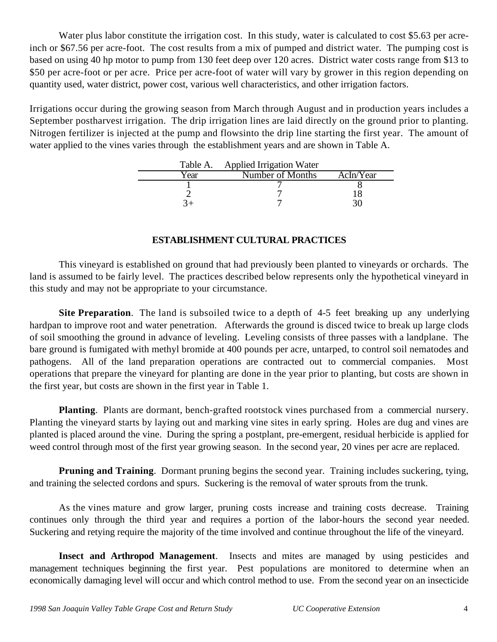Water plus labor constitute the irrigation cost. In this study, water is calculated to cost \$5.63 per acreinch or \$67.56 per acre-foot. The cost results from a mix of pumped and district water. The pumping cost is based on using 40 hp motor to pump from 130 feet deep over 120 acres. District water costs range from \$13 to \$50 per acre-foot or per acre. Price per acre-foot of water will vary by grower in this region depending on quantity used, water district, power cost, various well characteristics, and other irrigation factors.

Irrigations occur during the growing season from March through August and in production years includes a September postharvest irrigation. The drip irrigation lines are laid directly on the ground prior to planting. Nitrogen fertilizer is injected at the pump and flowsinto the drip line starting the first year. The amount of water applied to the vines varies through the establishment years and are shown in Table A.

|      | Table A. Applied Irrigation Water |           |
|------|-----------------------------------|-----------|
| Year | Number of Months                  | AcIn/Year |
|      |                                   |           |
|      |                                   |           |
|      |                                   |           |

# **ESTABLISHMENT CULTURAL PRACTICES**

This vineyard is established on ground that had previously been planted to vineyards or orchards. The land is assumed to be fairly level. The practices described below represents only the hypothetical vineyard in this study and may not be appropriate to your circumstance.

**Site Preparation**. The land is subsoiled twice to a depth of 4-5 feet breaking up any underlying hardpan to improve root and water penetration. Afterwards the ground is disced twice to break up large clods of soil smoothing the ground in advance of leveling. Leveling consists of three passes with a landplane. The bare ground is fumigated with methyl bromide at 400 pounds per acre, untarped, to control soil nematodes and pathogens. All of the land preparation operations are contracted out to commercial companies. Most operations that prepare the vineyard for planting are done in the year prior to planting, but costs are shown in the first year, but costs are shown in the first year in Table 1.

**Planting**. Plants are dormant, bench-grafted rootstock vines purchased from a commercial nursery. Planting the vineyard starts by laying out and marking vine sites in early spring. Holes are dug and vines are planted is placed around the vine. During the spring a postplant, pre-emergent, residual herbicide is applied for weed control through most of the first year growing season. In the second year, 20 vines per acre are replaced.

**Pruning and Training**. Dormant pruning begins the second year. Training includes suckering, tying, and training the selected cordons and spurs. Suckering is the removal of water sprouts from the trunk.

As the vines mature and grow larger, pruning costs increase and training costs decrease. Training continues only through the third year and requires a portion of the labor-hours the second year needed. Suckering and retying require the majority of the time involved and continue throughout the life of the vineyard.

**Insect and Arthropod Management**. Insects and mites are managed by using pesticides and management techniques beginning the first year. Pest populations are monitored to determine when an economically damaging level will occur and which control method to use. From the second year on an insecticide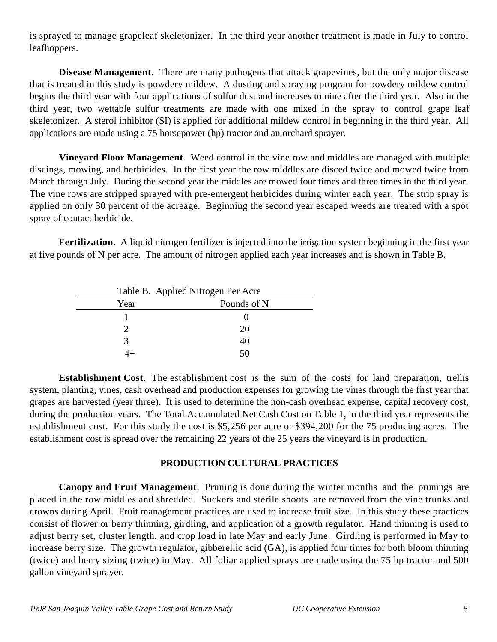is sprayed to manage grapeleaf skeletonizer. In the third year another treatment is made in July to control leafhoppers.

**Disease Management**. There are many pathogens that attack grapevines, but the only major disease that is treated in this study is powdery mildew. A dusting and spraying program for powdery mildew control begins the third year with four applications of sulfur dust and increases to nine after the third year. Also in the third year, two wettable sulfur treatments are made with one mixed in the spray to control grape leaf skeletonizer. A sterol inhibitor (SI) is applied for additional mildew control in beginning in the third year. All applications are made using a 75 horsepower (hp) tractor and an orchard sprayer.

**Vineyard Floor Management**. Weed control in the vine row and middles are managed with multiple discings, mowing, and herbicides. In the first year the row middles are disced twice and mowed twice from March through July. During the second year the middles are mowed four times and three times in the third year. The vine rows are stripped sprayed with pre-emergent herbicides during winter each year. The strip spray is applied on only 30 percent of the acreage. Beginning the second year escaped weeds are treated with a spot spray of contact herbicide.

**Fertilization**. A liquid nitrogen fertilizer is injected into the irrigation system beginning in the first year at five pounds of N per acre. The amount of nitrogen applied each year increases and is shown in Table B.

|      | Table B. Applied Nitrogen Per Acre |
|------|------------------------------------|
| Year | Pounds of N                        |
|      |                                    |
|      | 20                                 |
|      | 40                                 |
|      | .5C                                |

**Establishment Cost**. The establishment cost is the sum of the costs for land preparation, trellis system, planting, vines, cash overhead and production expenses for growing the vines through the first year that grapes are harvested (year three). It is used to determine the non-cash overhead expense, capital recovery cost, during the production years. The Total Accumulated Net Cash Cost on Table 1, in the third year represents the establishment cost. For this study the cost is \$5,256 per acre or \$394,200 for the 75 producing acres. The establishment cost is spread over the remaining 22 years of the 25 years the vineyard is in production.

# **PRODUCTION CULTURAL PRACTICES**

**Canopy and Fruit Management**. Pruning is done during the winter months and the prunings are placed in the row middles and shredded. Suckers and sterile shoots are removed from the vine trunks and crowns during April. Fruit management practices are used to increase fruit size. In this study these practices consist of flower or berry thinning, girdling, and application of a growth regulator. Hand thinning is used to adjust berry set, cluster length, and crop load in late May and early June. Girdling is performed in May to increase berry size. The growth regulator, gibberellic acid (GA), is applied four times for both bloom thinning (twice) and berry sizing (twice) in May. All foliar applied sprays are made using the 75 hp tractor and 500 gallon vineyard sprayer.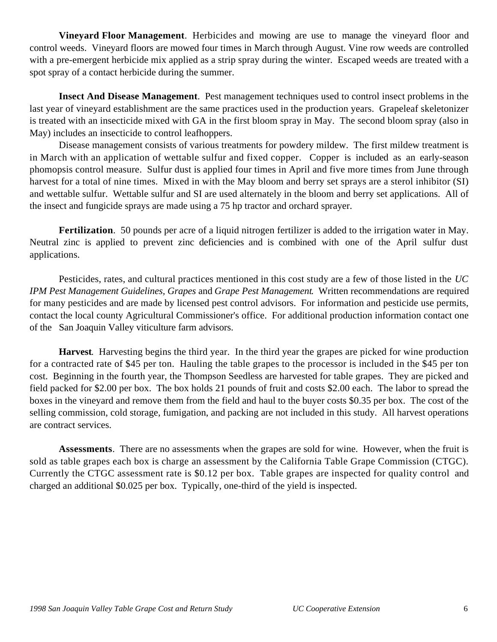**Vineyard Floor Management**. Herbicides and mowing are use to manage the vineyard floor and control weeds. Vineyard floors are mowed four times in March through August. Vine row weeds are controlled with a pre-emergent herbicide mix applied as a strip spray during the winter. Escaped weeds are treated with a spot spray of a contact herbicide during the summer.

**Insect And Disease Management**. Pest management techniques used to control insect problems in the last year of vineyard establishment are the same practices used in the production years. Grapeleaf skeletonizer is treated with an insecticide mixed with GA in the first bloom spray in May. The second bloom spray (also in May) includes an insecticide to control leafhoppers.

Disease management consists of various treatments for powdery mildew. The first mildew treatment is in March with an application of wettable sulfur and fixed copper. Copper is included as an early-season phomopsis control measure. Sulfur dust is applied four times in April and five more times from June through harvest for a total of nine times. Mixed in with the May bloom and berry set sprays are a sterol inhibitor (SI) and wettable sulfur. Wettable sulfur and SI are used alternately in the bloom and berry set applications. All of the insect and fungicide sprays are made using a 75 hp tractor and orchard sprayer.

**Fertilization**. 50 pounds per acre of a liquid nitrogen fertilizer is added to the irrigation water in May. Neutral zinc is applied to prevent zinc deficiencies and is combined with one of the April sulfur dust applications.

Pesticides, rates, and cultural practices mentioned in this cost study are a few of those listed in the *UC IPM Pest Management Guidelines, Grapes* and *Grape Pest Management*. Written recommendations are required for many pesticides and are made by licensed pest control advisors. For information and pesticide use permits, contact the local county Agricultural Commissioner's office. For additional production information contact one of the San Joaquin Valley viticulture farm advisors.

**Harvest**. Harvesting begins the third year. In the third year the grapes are picked for wine production for a contracted rate of \$45 per ton. Hauling the table grapes to the processor is included in the \$45 per ton cost. Beginning in the fourth year, the Thompson Seedless are harvested for table grapes. They are picked and field packed for \$2.00 per box. The box holds 21 pounds of fruit and costs \$2.00 each. The labor to spread the boxes in the vineyard and remove them from the field and haul to the buyer costs \$0.35 per box. The cost of the selling commission, cold storage, fumigation, and packing are not included in this study. All harvest operations are contract services.

**Assessments**. There are no assessments when the grapes are sold for wine. However, when the fruit is sold as table grapes each box is charge an assessment by the California Table Grape Commission (CTGC). Currently the CTGC assessment rate is \$0.12 per box. Table grapes are inspected for quality control and charged an additional \$0.025 per box. Typically, one-third of the yield is inspected.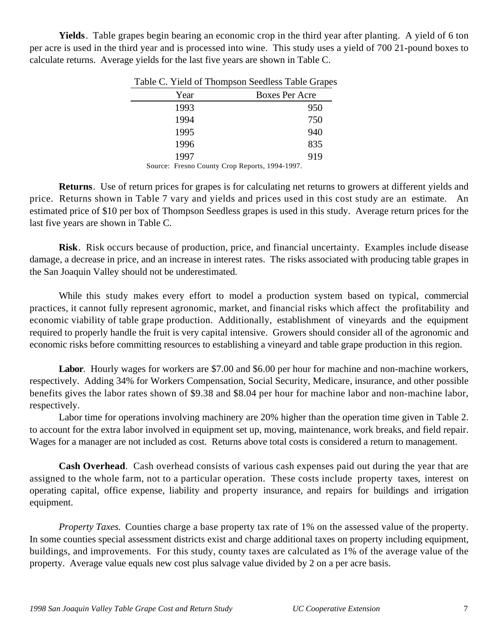**Yields**. Table grapes begin bearing an economic crop in the third year after planting. A yield of 6 ton per acre is used in the third year and is processed into wine. This study uses a yield of 700 21-pound boxes to calculate returns. Average yields for the last five years are shown in Table C.

|        | Year   | <b>Boxes Per Acre</b> |
|--------|--------|-----------------------|
|        | 1993   | 950                   |
|        | 1994   | 750                   |
|        | 1995   | 940                   |
|        | 1996   | 835                   |
|        | 1997   | 919                   |
| $\sim$ | $\sim$ | $10011100 =$          |

Table C. Yield of Thompson Seedless Table Grapes

Source: Fresno County Crop Reports, 1994-1997.

**Returns**. Use of return prices for grapes is for calculating net returns to growers at different yields and price. Returns shown in Table 7 vary and yields and prices used in this cost study are an estimate. An estimated price of \$10 per box of Thompson Seedless grapes is used in this study. Average return prices for the last five years are shown in Table C.

**Risk**. Risk occurs because of production, price, and financial uncertainty. Examples include disease damage, a decrease in price, and an increase in interest rates. The risks associated with producing table grapes in the San Joaquin Valley should not be underestimated.

While this study makes every effort to model a production system based on typical, commercial practices, it cannot fully represent agronomic, market, and financial risks which affect the profitability and economic viability of table grape production. Additionally, establishment of vineyards and the equipment required to properly handle the fruit is very capital intensive. Growers should consider all of the agronomic and economic risks before committing resources to establishing a vineyard and table grape production in this region.

Labor. Hourly wages for workers are \$7.00 and \$6.00 per hour for machine and non-machine workers, respectively. Adding 34% for Workers Compensation, Social Security, Medicare, insurance, and other possible benefits gives the labor rates shown of \$9.38 and \$8.04 per hour for machine labor and non-machine labor, respectively.

Labor time for operations involving machinery are 20% higher than the operation time given in Table 2. to account for the extra labor involved in equipment set up, moving, maintenance, work breaks, and field repair. Wages for a manager are not included as cost. Returns above total costs is considered a return to management.

**Cash Overhead**. Cash overhead consists of various cash expenses paid out during the year that are assigned to the whole farm, not to a particular operation. These costs include property taxes, interest on operating capital, office expense, liability and property insurance, and repairs for buildings and irrigation equipment.

*Property Taxes.* Counties charge a base property tax rate of 1% on the assessed value of the property. In some counties special assessment districts exist and charge additional taxes on property including equipment, buildings, and improvements. For this study, county taxes are calculated as 1% of the average value of the property. Average value equals new cost plus salvage value divided by 2 on a per acre basis.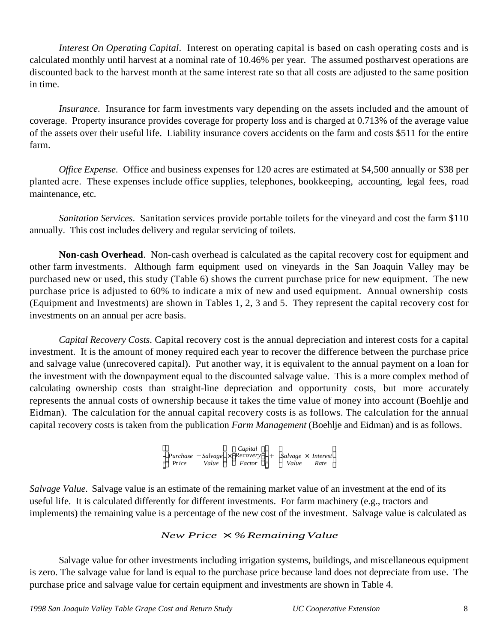*Interest On Operating Capital*. Interest on operating capital is based on cash operating costs and is calculated monthly until harvest at a nominal rate of 10.46% per year. The assumed postharvest operations are discounted back to the harvest month at the same interest rate so that all costs are adjusted to the same position in time.

*Insurance*. Insurance for farm investments vary depending on the assets included and the amount of coverage. Property insurance provides coverage for property loss and is charged at 0.713% of the average value of the assets over their useful life. Liability insurance covers accidents on the farm and costs \$511 for the entire farm.

*Office Expense*. Office and business expenses for 120 acres are estimated at \$4,500 annually or \$38 per planted acre. These expenses include office supplies, telephones, bookkeeping, accounting, legal fees, road maintenance, etc.

*Sanitation Services*. Sanitation services provide portable toilets for the vineyard and cost the farm \$110 annually. This cost includes delivery and regular servicing of toilets.

**Non-cash Overhead**. Non-cash overhead is calculated as the capital recovery cost for equipment and other farm investments. Although farm equipment used on vineyards in the San Joaquin Valley may be purchased new or used, this study (Table 6) shows the current purchase price for new equipment. The new purchase price is adjusted to 60% to indicate a mix of new and used equipment. Annual ownership costs (Equipment and Investments) are shown in Tables 1, 2, 3 and 5. They represent the capital recovery cost for investments on an annual per acre basis.

*Capital Recovery Costs*. Capital recovery cost is the annual depreciation and interest costs for a capital investment. It is the amount of money required each year to recover the difference between the purchase price and salvage value (unrecovered capital). Put another way, it is equivalent to the annual payment on a loan for the investment with the downpayment equal to the discounted salvage value. This is a more complex method of calculating ownership costs than straight-line depreciation and opportunity costs, but more accurately represents the annual costs of ownership because it takes the time value of money into account (Boehlje and Eidman). The calculation for the annual capital recovery costs is as follows. The calculation for the annual capital recovery costs is taken from the publication *Farm Management* (Boehlje and Eidman) and is as follows.

> *Purchase* −*Salvage* × *Recovery*<br>Price *Value* Factor Pr*ice Value Factor Capital* Purchase  $-Salvage \times Recovery$  + *Salvage*  $\times$  *Interest*<br>Price *Value* Factor *Value* Pate *Value Rate*

*Salvage Value.* Salvage value is an estimate of the remaining market value of an investment at the end of its useful life. It is calculated differently for different investments. For farm machinery (e.g., tractors and implements) the remaining value is a percentage of the new cost of the investment. Salvage value is calculated as

# *New Price*  $\times$  %Remaining Value

Salvage value for other investments including irrigation systems, buildings, and miscellaneous equipment is zero. The salvage value for land is equal to the purchase price because land does not depreciate from use. The purchase price and salvage value for certain equipment and investments are shown in Table 4.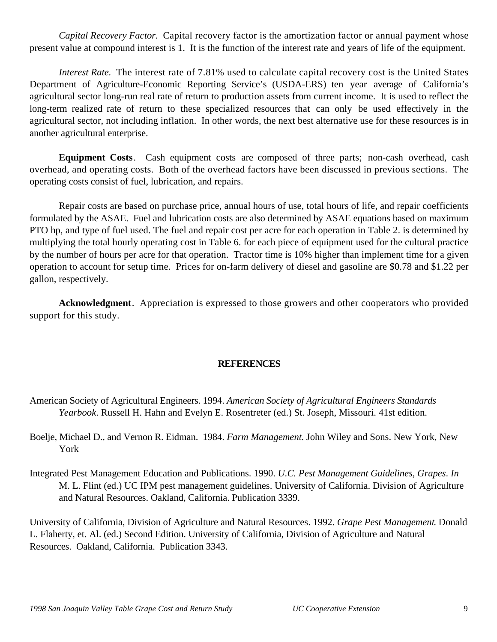*Capital Recovery Factor.* Capital recovery factor is the amortization factor or annual payment whose present value at compound interest is 1. It is the function of the interest rate and years of life of the equipment.

*Interest Rate.* The interest rate of 7.81% used to calculate capital recovery cost is the United States Department of Agriculture-Economic Reporting Service's (USDA-ERS) ten year average of California's agricultural sector long-run real rate of return to production assets from current income. It is used to reflect the long-term realized rate of return to these specialized resources that can only be used effectively in the agricultural sector, not including inflation. In other words, the next best alternative use for these resources is in another agricultural enterprise.

**Equipment Costs**. Cash equipment costs are composed of three parts; non-cash overhead, cash overhead, and operating costs. Both of the overhead factors have been discussed in previous sections. The operating costs consist of fuel, lubrication, and repairs.

Repair costs are based on purchase price, annual hours of use, total hours of life, and repair coefficients formulated by the ASAE. Fuel and lubrication costs are also determined by ASAE equations based on maximum PTO hp, and type of fuel used. The fuel and repair cost per acre for each operation in Table 2. is determined by multiplying the total hourly operating cost in Table 6. for each piece of equipment used for the cultural practice by the number of hours per acre for that operation. Tractor time is 10% higher than implement time for a given operation to account for setup time. Prices for on-farm delivery of diesel and gasoline are \$0.78 and \$1.22 per gallon, respectively.

**Acknowledgment**. Appreciation is expressed to those growers and other cooperators who provided support for this study.

# **REFERENCES**

- American Society of Agricultural Engineers. 1994. *American Society of Agricultural Engineers Standards Yearbook*. Russell H. Hahn and Evelyn E. Rosentreter (ed.) St. Joseph, Missouri. 41st edition.
- Boelje, Michael D., and Vernon R. Eidman. 1984. *Farm Management*. John Wiley and Sons. New York, New York
- Integrated Pest Management Education and Publications. 1990. *U.C. Pest Management Guidelines, Grapes*. *In* M. L. Flint (ed.) UC IPM pest management guidelines. University of California. Division of Agriculture and Natural Resources. Oakland, California. Publication 3339.

University of California, Division of Agriculture and Natural Resources. 1992. *Grape Pest Management*. Donald L. Flaherty, et. Al. (ed.) Second Edition. University of California, Division of Agriculture and Natural Resources. Oakland, California. Publication 3343.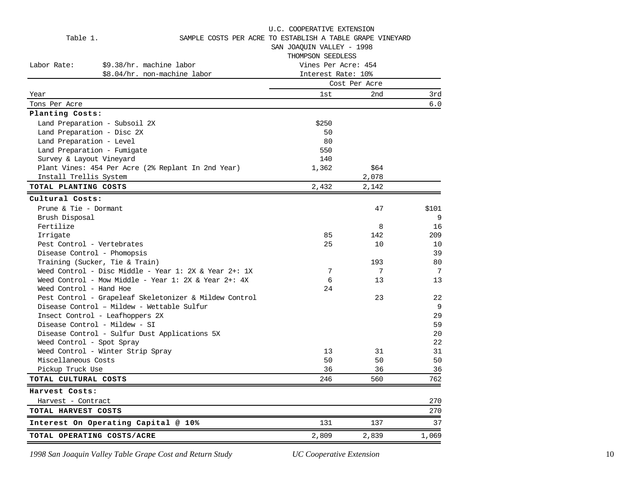|                            |                                                        | U.C. COOPERATIVE EXTENSION                                |               |       |  |  |  |  |
|----------------------------|--------------------------------------------------------|-----------------------------------------------------------|---------------|-------|--|--|--|--|
| Table 1.                   |                                                        | SAMPLE COSTS PER ACRE TO ESTABLISH A TABLE GRAPE VINEYARD |               |       |  |  |  |  |
|                            |                                                        | SAN JOAQUIN VALLEY - 1998                                 |               |       |  |  |  |  |
|                            |                                                        | THOMPSON SEEDLESS                                         |               |       |  |  |  |  |
| Labor Rate:                | \$9.38/hr. machine labor                               | Vines Per Acre: 454                                       |               |       |  |  |  |  |
|                            | \$8.04/hr. non-machine labor                           | Interest Rate: 10%                                        |               |       |  |  |  |  |
|                            |                                                        |                                                           | Cost Per Acre |       |  |  |  |  |
| Year                       |                                                        | 1st                                                       | 2nd           | 3rd   |  |  |  |  |
| Tons Per Acre              |                                                        |                                                           |               | 6.0   |  |  |  |  |
| Planting Costs:            |                                                        |                                                           |               |       |  |  |  |  |
|                            | Land Preparation - Subsoil 2X                          | \$250                                                     |               |       |  |  |  |  |
| Land Preparation - Disc 2X |                                                        | 50                                                        |               |       |  |  |  |  |
| Land Preparation - Level   |                                                        | 80                                                        |               |       |  |  |  |  |
|                            | Land Preparation - Fumigate                            | 550                                                       |               |       |  |  |  |  |
| Survey & Layout Vineyard   |                                                        | 140                                                       |               |       |  |  |  |  |
|                            | Plant Vines: 454 Per Acre (2% Replant In 2nd Year)     | 1,362                                                     | \$64          |       |  |  |  |  |
| Install Trellis System     |                                                        |                                                           | 2,078         |       |  |  |  |  |
| TOTAL PLANTING COSTS       |                                                        | 2,432                                                     | 2,142         |       |  |  |  |  |
| Cultural Costs:            |                                                        |                                                           |               |       |  |  |  |  |
| Prune & Tie - Dormant      |                                                        |                                                           | 47            | \$101 |  |  |  |  |
| Brush Disposal             |                                                        |                                                           |               | 9     |  |  |  |  |
| Fertilize                  |                                                        |                                                           | 8             | 16    |  |  |  |  |
| Irrigate                   |                                                        | 85                                                        | 142           | 209   |  |  |  |  |
| Pest Control - Vertebrates |                                                        | 25                                                        | 10            | 10    |  |  |  |  |
|                            | Disease Control - Phomopsis                            |                                                           |               | 39    |  |  |  |  |
|                            | Training (Sucker, Tie & Train)                         |                                                           | 193           | 80    |  |  |  |  |
|                            | Weed Control - Disc Middle - Year 1: 2X & Year 2+: 1X  | 7                                                         | 7             | 7     |  |  |  |  |
|                            | Weed Control - Mow Middle - Year 1: 2X & Year 2+: 4X   | 6                                                         | 13            | 13    |  |  |  |  |
| Weed Control - Hand Hoe    |                                                        | 24                                                        |               |       |  |  |  |  |
|                            | Pest Control - Grapeleaf Skeletonizer & Mildew Control |                                                           | 23            | 22    |  |  |  |  |
|                            | Disease Control - Mildew - Wettable Sulfur             |                                                           |               | 9     |  |  |  |  |
|                            | Insect Control - Leafhoppers 2X                        |                                                           |               | 29    |  |  |  |  |
|                            | Disease Control - Mildew - SI                          |                                                           |               | 59    |  |  |  |  |
|                            | Disease Control - Sulfur Dust Applications 5X          |                                                           |               | 20    |  |  |  |  |
| Weed Control - Spot Spray  |                                                        |                                                           |               | 22    |  |  |  |  |
|                            | Weed Control - Winter Strip Spray                      | 13                                                        | 31            | 31    |  |  |  |  |
| Miscellaneous Costs        |                                                        | 50                                                        | 50            | 50    |  |  |  |  |
| Pickup Truck Use           |                                                        | 36                                                        | 36            | 36    |  |  |  |  |
| TOTAL CULTURAL COSTS       |                                                        | 246                                                       | 560           | 762   |  |  |  |  |
| Harvest Costs:             |                                                        |                                                           |               |       |  |  |  |  |
| Harvest - Contract         |                                                        |                                                           |               | 270   |  |  |  |  |
| TOTAL HARVEST COSTS        |                                                        |                                                           |               | 270   |  |  |  |  |
|                            | Interest On Operating Capital @ 10%                    | 131                                                       | 137           | 37    |  |  |  |  |
|                            | TOTAL OPERATING COSTS/ACRE                             | 2,809                                                     | 2,839         | 1,069 |  |  |  |  |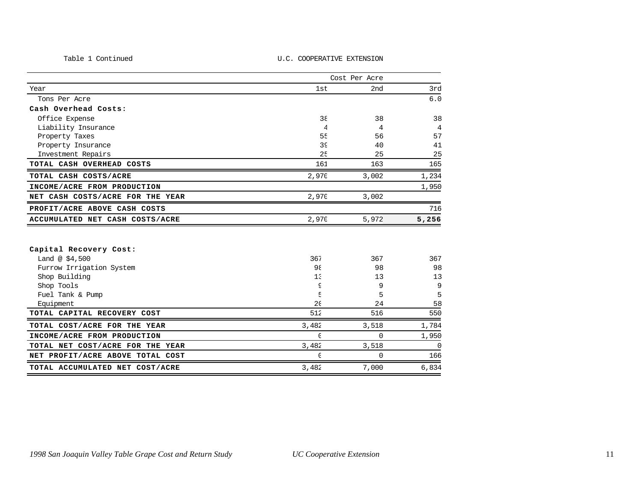#### Table 1 ContinuedU.C. COOPERATIVE EXTENSION

|                                  | Cost Per Acre            |          |             |
|----------------------------------|--------------------------|----------|-------------|
| Year                             | 1st                      | 2nd      | 3rd         |
| Tons Per Acre                    |                          |          | 6.0         |
| Cash Overhead Costs:             |                          |          |             |
| Office Expense                   | 38                       | 38       | 38          |
| Liability Insurance              | $\overline{\mathcal{L}}$ | 4        | 4           |
| Property Taxes                   | 55                       | 56       | 57          |
| Property Insurance               | 39                       | 40       | 41          |
| Investment Repairs               | 25                       | 25       | 25          |
| TOTAL CASH OVERHEAD COSTS        | 161                      | 163      | 165         |
| TOTAL CASH COSTS/ACRE            | 2,970                    | 3,002    | 1,234       |
| INCOME/ACRE FROM PRODUCTION      |                          |          | 1,950       |
| NET CASH COSTS/ACRE FOR THE YEAR | 2,970                    | 3,002    |             |
| PROFIT/ACRE ABOVE CASH COSTS     |                          |          | 716         |
| ACCUMULATED NET CASH COSTS/ACRE  | 2,970                    | 5,972    | 5,256       |
|                                  |                          |          |             |
| Capital Recovery Cost:           |                          |          |             |
| Land @ $$4,500$                  | 367                      | 367      | 367         |
| Furrow Irrigation System         | 98                       | 98       | 98          |
| Shop Building                    | 15                       | 13       | 13          |
| Shop Tools                       | S                        | 9        | 9           |
| Fuel Tank & Pump                 | E                        | 5        | 5           |
| Equipment                        | 2 <sub>0</sub>           | 24       | 58          |
| TOTAL CAPITAL RECOVERY COST      | 512                      | 516      | 550         |
| TOTAL COST/ACRE FOR THE YEAR     | 3,482                    | 3,518    | 1,784       |
| INCOME/ACRE FROM PRODUCTION      | $\mathcal{C}$            | $\Omega$ | 1,950       |
| TOTAL NET COST/ACRE FOR THE YEAR | 3,482                    | 3,518    | $\mathbf 0$ |

**NET PROFIT/ACRE ABOVE TOTAL COST 166 166 TOTAL ACCUMULATED NET COST/ACRE** 3,482 7,000 6,834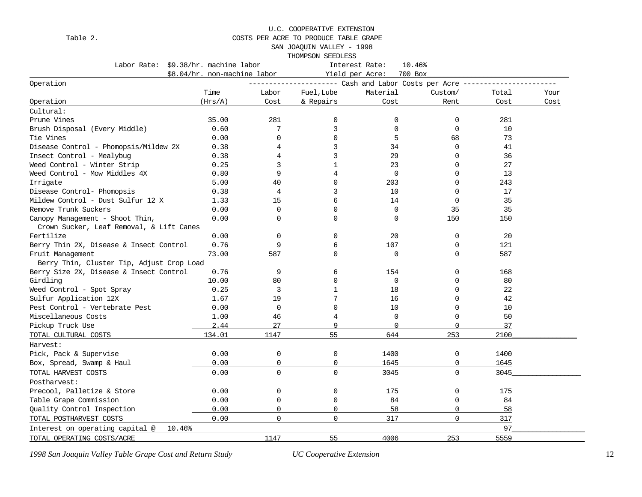#### U.C. COOPERATIVE EXTENSION

### Table 2. COSTS PER ACRE TO PRODUCE TABLE GRAPE

SAN JOAQUIN VALLEY - 1998

THOMPSON SEEDLESS

| Labor Rate: \$9.38/hr. machine labor      |                              |                | Interest Rate:<br>10.46% |                            |             |       |      |
|-------------------------------------------|------------------------------|----------------|--------------------------|----------------------------|-------------|-------|------|
|                                           | \$8.04/hr. non-machine labor |                |                          | Yield per Acre:<br>700 Box |             |       |      |
| Operation                                 |                              |                |                          |                            |             |       |      |
|                                           | Time                         | Labor          | Fuel, Lube               | Material                   | Custom/     | Total | Your |
| Operation                                 | (Hrs/A)                      | Cost           | & Repairs                | Cost                       | Rent        | Cost  | Cost |
| Cultural:                                 |                              |                |                          |                            |             |       |      |
| Prune Vines                               | 35.00                        | 281            | $\Omega$                 | 0                          | $\mathbf 0$ | 281   |      |
| Brush Disposal (Every Middle)             | 0.60                         | 7              | 3                        | 0                          | $\mathbf 0$ | 10    |      |
| Tie Vines                                 | 0.00                         | $\mathbf 0$    | $\Omega$                 | 5                          | 68          | 73    |      |
| Disease Control - Phomopsis/Mildew 2X     | 0.38                         | 4              | 3                        | 34                         | $\mathbf 0$ | 41    |      |
| Insect Control - Mealybug                 | 0.38                         | 4              | 3                        | 29                         | $\Omega$    | 36    |      |
| Weed Control - Winter Strip               | 0.25                         | 3              | 1                        | 23                         | $\mathbf 0$ | 27    |      |
| Weed Control - Mow Middles 4X             | 0.80                         | 9              | 4                        | $\mathbf 0$                | $\mathbf 0$ | 13    |      |
| Irrigate                                  | 5.00                         | 40             | $\Omega$                 | 203                        | $\Omega$    | 243   |      |
| Disease Control- Phomopsis                | 0.38                         | 4              | 3                        | 10                         | $\Omega$    | 17    |      |
| Mildew Control - Dust Sulfur 12 X         | 1.33                         | 15             | 6                        | 14                         | $\Omega$    | 35    |      |
| Remove Trunk Suckers                      | 0.00                         | $\mathbf 0$    | $\mathbf 0$              | $\mathbf 0$                | 35          | 35    |      |
| Canopy Management - Shoot Thin,           | 0.00                         | $\Omega$       | $\Omega$                 | $\Omega$                   | 150         | 150   |      |
| Crown Sucker, Leaf Removal, & Lift Canes  |                              |                |                          |                            |             |       |      |
| Fertilize                                 | 0.00                         | $\mathbf 0$    | 0                        | 20                         | $\mathbf 0$ | 20    |      |
| Berry Thin 2X, Disease & Insect Control   | 0.76                         | 9              | 6                        | 107                        | $\mathbf 0$ | 121   |      |
| Fruit Management                          | 73.00                        | 587            | $\mathbf 0$              | $\mathbf 0$                | $\mathbf 0$ | 587   |      |
| Berry Thin, Cluster Tip, Adjust Crop Load |                              |                |                          |                            |             |       |      |
| Berry Size 2X, Disease & Insect Control   | 0.76                         | 9              | 6                        | 154                        | $\mathbf 0$ | 168   |      |
| Girdling                                  | 10.00                        | 80             | $\mathbf 0$              | $\mathbf 0$                | $\Omega$    | 80    |      |
| Weed Control - Spot Spray                 | 0.25                         | 3              | $\mathbf{1}$             | 18                         | $\Omega$    | 22    |      |
| Sulfur Application 12X                    | 1.67                         | 19             |                          | 16                         | $\Omega$    | 42    |      |
| Pest Control - Vertebrate Pest            | 0.00                         | $\mathbf 0$    | $\Omega$                 | 10                         | $\Omega$    | 10    |      |
| Miscellaneous Costs                       | 1.00                         | 46             | 4                        | 0                          | $\mathbf 0$ | 50    |      |
| Pickup Truck Use                          | 2.44                         | 27             | 9                        | 0                          | $\mathbf 0$ | 37    |      |
| TOTAL CULTURAL COSTS                      | 134.01                       | 1147           | 55                       | 644                        | 253         | 2100  |      |
| Harvest:                                  |                              |                |                          |                            |             |       |      |
| Pick, Pack & Supervise                    | 0.00                         | 0              | 0                        | 1400                       | 0           | 1400  |      |
| Box, Spread, Swamp & Haul                 | 0.00                         | $\overline{0}$ | $\mathbf 0$              | 1645                       | $\mathbf 0$ | 1645  |      |
| TOTAL HARVEST COSTS                       | 0.00                         | $\Omega$       | $\Omega$                 | 3045                       | $\Omega$    | 3045  |      |
| Postharvest:                              |                              |                |                          |                            |             |       |      |
| Precool, Palletize & Store                | 0.00                         | $\mathbf 0$    | 0                        | 175                        | 0           | 175   |      |
| Table Grape Commission                    | 0.00                         | $\mathbf 0$    | $\mathbf 0$              | 84                         | $\mathbf 0$ | 84    |      |
| Quality Control Inspection                | 0.00                         | $\mathbf 0$    | $\Omega$                 | 58                         | $\mathbf 0$ | 58    |      |
| TOTAL POSTHARVEST COSTS                   | 0.00                         | $\Omega$       | $\mathbf 0$              | 317                        | $\mathbf 0$ | 317   |      |
| Interest on operating capital @<br>10.46% |                              |                |                          |                            |             | 97    |      |
|                                           |                              |                |                          |                            |             |       |      |
| TOTAL OPERATING COSTS/ACRE                |                              | 1147           | 55                       | 4006                       | 253         | 5559  |      |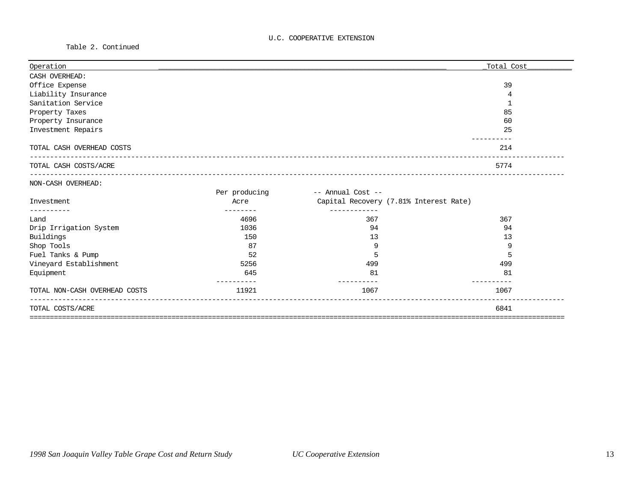Table 2. Continued

| Operation                     |               |                                        | Total Cost |
|-------------------------------|---------------|----------------------------------------|------------|
| CASH OVERHEAD:                |               |                                        |            |
| Office Expense                |               |                                        | 39         |
| Liability Insurance           |               |                                        | 4          |
| Sanitation Service            |               |                                        | 1          |
| Property Taxes                |               |                                        | 85         |
| Property Insurance            |               |                                        | 60         |
| Investment Repairs            |               |                                        | 25         |
| TOTAL CASH OVERHEAD COSTS     |               |                                        | 214        |
| TOTAL CASH COSTS/ACRE         |               |                                        | 5774       |
| NON-CASH OVERHEAD:            |               |                                        |            |
|                               | Per producing | -- Annual Cost --                      |            |
| Investment                    | Acre          | Capital Recovery (7.81% Interest Rate) |            |
|                               |               |                                        |            |
| Land                          | 4696          | 367                                    | 367        |
| Drip Irrigation System        | 1036          | 94                                     | 94         |
| Buildings                     | 150           | 13                                     | 13         |
| Shop Tools                    | 87            | 9                                      | 9          |
| Fuel Tanks & Pump             | 52            | 5                                      | 5          |
| Vineyard Establishment        | 5256          | 499                                    | 499        |
| Equipment                     | 645           | 81                                     | 81         |
| TOTAL NON-CASH OVERHEAD COSTS | 11921         | 1067                                   | 1067       |
| TOTAL COSTS/ACRE              |               |                                        | 6841       |
|                               |               |                                        |            |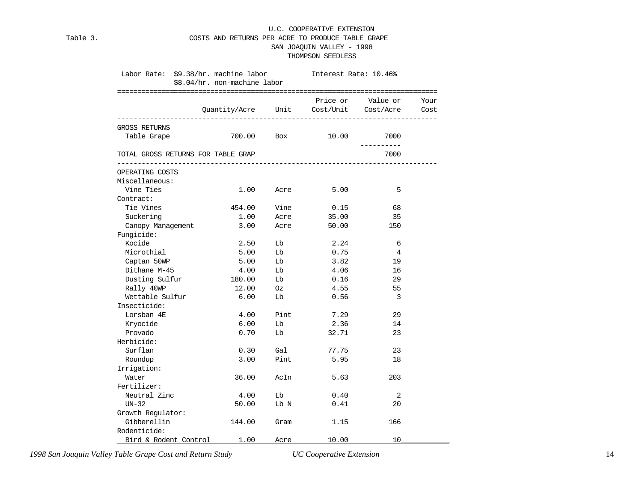#### U.C. COOPERATIVE EXTENSION Table 3. COSTS AND RETURNS PER ACRE TO PRODUCE TABLE GRAPE SAN JOAQUIN VALLEY - 1998 THOMPSON SEEDLESS

|                                    | Labor Rate: \$9.38/hr. machine labor [Interest Rate: 10.46%] |            |                                        |                         |      |  |  |
|------------------------------------|--------------------------------------------------------------|------------|----------------------------------------|-------------------------|------|--|--|
|                                    | \$8.04/hr. non-machine labor                                 |            |                                        |                         |      |  |  |
|                                    |                                                              |            |                                        |                         |      |  |  |
|                                    |                                                              |            |                                        | Price or Value or       | Your |  |  |
|                                    |                                                              |            | Quantity/Acre Unit Cost/Unit Cost/Acre |                         | Cost |  |  |
| GROSS RETURNS                      |                                                              |            |                                        |                         |      |  |  |
| Table Grape                        |                                                              | 700.00 Box | 10.00                                  | 7000                    |      |  |  |
|                                    |                                                              |            |                                        | -----------             |      |  |  |
| TOTAL GROSS RETURNS FOR TABLE GRAP |                                                              |            |                                        | 7000                    |      |  |  |
| OPERATING COSTS                    |                                                              |            |                                        |                         |      |  |  |
| Miscellaneous:                     |                                                              |            |                                        |                         |      |  |  |
| Vine Ties                          | 1.00                                                         | Acre       | 5.00                                   | 5                       |      |  |  |
| Contract:                          |                                                              |            |                                        |                         |      |  |  |
| Tie Vines                          | 454.00                                                       | Vine       | 0.15                                   | 68                      |      |  |  |
| Suckering                          | 1.00                                                         | Acre       | 35.00                                  | 35                      |      |  |  |
| Canopy Management                  | 3.00                                                         | Acre       | 50.00                                  | 150                     |      |  |  |
| Fungicide:                         |                                                              |            |                                        |                         |      |  |  |
| Kocide                             | 2.50                                                         | Lb         | 2.24                                   | 6                       |      |  |  |
| Microthial                         | 5.00                                                         | Lb         | 0.75                                   | 4                       |      |  |  |
| Captan 50WP                        | 5.00                                                         | Lb         | 3.82                                   | 19                      |      |  |  |
| Dithane M-45                       | 4.00                                                         | Lb         | 4.06                                   | 16                      |      |  |  |
| Dusting Sulfur                     | 180.00                                                       | Lb         | 0.16                                   | 29                      |      |  |  |
| Rally 40WP                         | 12.00                                                        | Oz         | 4.55                                   | 55                      |      |  |  |
| Wettable Sulfur                    | 6.00                                                         | Lb         | 0.56                                   | $\overline{\mathbf{3}}$ |      |  |  |
| Insecticide:                       |                                                              |            |                                        |                         |      |  |  |
| Lorsban 4E                         | 4.00                                                         | Pint       | 7.29                                   | 29                      |      |  |  |
| Kryocide                           | 6.00                                                         | Lb         | 2.36                                   | 14                      |      |  |  |
| Provado                            | 0.70                                                         | Lb         | 32.71                                  | 23                      |      |  |  |
| Herbicide:                         |                                                              |            |                                        |                         |      |  |  |
| Surflan                            | 0.30                                                         | Gal        | 77.75                                  | 23                      |      |  |  |
| Roundup                            | 3.00                                                         | Pint       | 5.95                                   | 18                      |      |  |  |
| Irrigation:                        |                                                              |            |                                        |                         |      |  |  |
| Water                              | 36.00                                                        | AcIn       | 5.63                                   | 203                     |      |  |  |
| Fertilizer:                        |                                                              |            |                                        |                         |      |  |  |
| Neutral Zinc                       | 4.00                                                         | Lb         | 0.40                                   | 2                       |      |  |  |
| $UN-32$                            | 50.00                                                        | Lb N       | 0.41                                   | 20                      |      |  |  |
| Growth Regulator:                  |                                                              |            |                                        |                         |      |  |  |
| Gibberellin                        | 144.00                                                       | Gram       | 1.15                                   | 166                     |      |  |  |
| Rodenticide:                       |                                                              |            |                                        |                         |      |  |  |
| Bird & Rodent Control              | 1.00                                                         | Acre       | 10.00                                  | 10                      |      |  |  |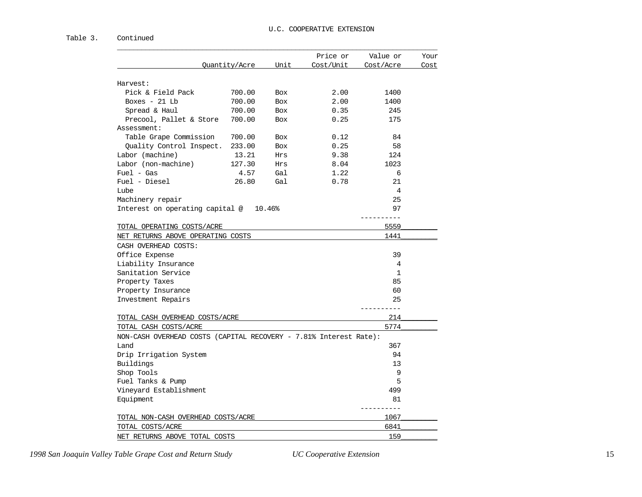#### Table 3. Continued

|                                                                   |               |            | Price or  | Value or     | Your |
|-------------------------------------------------------------------|---------------|------------|-----------|--------------|------|
|                                                                   | Quantity/Acre | Unit       | Cost/Unit | Cost/Acre    | Cost |
| Harvest:                                                          |               |            |           |              |      |
| Pick & Field Pack                                                 | 700.00        | <b>Box</b> | 2.00      | 1400         |      |
| Boxes $-21$ Lb                                                    | 700.00        | <b>Box</b> | 2.00      | 1400         |      |
| Spread & Haul                                                     | 700.00        | <b>Box</b> | 0.35      | 245          |      |
| Precool, Pallet & Store                                           | 700.00        | Box        | 0.25      | 175          |      |
| Assessment:                                                       |               |            |           |              |      |
| Table Grape Commission                                            | 700.00        | Box        | 0.12      | 84           |      |
| Quality Control Inspect.                                          | 233.00        | <b>Box</b> | 0.25      | 58           |      |
| Labor (machine)                                                   | 13.21         | <b>Hrs</b> | 9.38      | 124          |      |
| Labor (non-machine)                                               | 127.30        | Hrs        | 8.04      | 1023         |      |
| $Fuel - Gas$                                                      | 4.57          | Gal        | 1.22      | 6            |      |
| Fuel - Diesel                                                     | 26.80         | Gal        | 0.78      | 21           |      |
| Lube                                                              |               |            |           | 4            |      |
| Machinery repair                                                  |               |            |           | 25           |      |
| Interest on operating capital @ 10.46%                            |               |            |           | 97           |      |
|                                                                   |               |            |           | ---------    |      |
| TOTAL OPERATING COSTS/ACRE                                        |               |            |           | 5559         |      |
| NET RETURNS ABOVE OPERATING COSTS                                 |               |            |           | 1441         |      |
| CASH OVERHEAD COSTS:                                              |               |            |           |              |      |
| Office Expense                                                    |               |            |           | 39           |      |
| Liability Insurance                                               |               |            |           | 4            |      |
| Sanitation Service                                                |               |            |           | $\mathbf{1}$ |      |
| Property Taxes                                                    |               |            |           | 85           |      |
| Property Insurance                                                |               |            |           | 60           |      |
| Investment Repairs                                                |               |            |           | 25           |      |
|                                                                   |               |            |           |              |      |
| TOTAL CASH OVERHEAD COSTS/ACRE                                    |               |            |           | 214          |      |
| TOTAL CASH COSTS/ACRE                                             |               |            |           | 5774         |      |
| NON-CASH OVERHEAD COSTS (CAPITAL RECOVERY - 7.81% Interest Rate): |               |            |           |              |      |
| Land                                                              |               |            |           | 367          |      |
| Drip Irrigation System                                            |               |            |           | 94           |      |
| Buildings                                                         |               |            |           | 13           |      |
| Shop Tools                                                        |               |            |           | 9            |      |
| Fuel Tanks & Pump                                                 |               |            |           | 5            |      |
| Vineyard Establishment                                            |               |            |           | 499          |      |
| Equipment                                                         |               |            |           | 81           |      |
|                                                                   |               |            |           |              |      |
| TOTAL NON-CASH OVERHEAD COSTS/ACRE                                |               |            |           | 1067         |      |
| TOTAL COSTS/ACRE                                                  |               |            |           | 6841         |      |
| NET RETURNS ABOVE TOTAL COSTS                                     |               |            |           | 159          |      |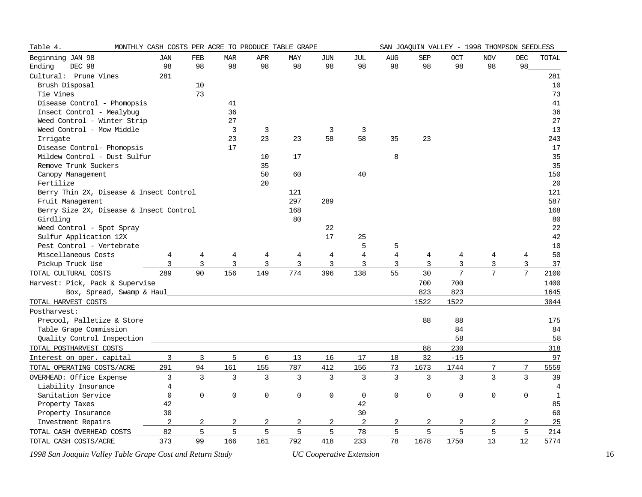| Table 4.                                | MONTHLY CASH COSTS PER ACRE TO PRODUCE TABLE GRAPE |                |                |                |     |            |                |                |                | SAN JOAQUIN VALLEY - 1998 THOMPSON SEEDLESS |                |                 |                |
|-----------------------------------------|----------------------------------------------------|----------------|----------------|----------------|-----|------------|----------------|----------------|----------------|---------------------------------------------|----------------|-----------------|----------------|
| Beginning JAN 98                        | JAN                                                | FEB            | <b>MAR</b>     | <b>APR</b>     | MAY | <b>JUN</b> | JUL            | AUG            | <b>SEP</b>     | OCT                                         | <b>NOV</b>     | $\rm DEC$       | TOTAL          |
| Ending<br>DEC 98                        | 98                                                 | 98             | 98             | 98             | 98  | 98         | 98             | 98             | 98             | 98                                          | 98             | 98              |                |
| Cultural: Prune Vines                   | 281                                                |                |                |                |     |            |                |                |                |                                             |                |                 | 281            |
| Brush Disposal                          |                                                    | 10             |                |                |     |            |                |                |                |                                             |                |                 | 10             |
| Tie Vines                               |                                                    | 73             |                |                |     |            |                |                |                |                                             |                |                 | 73             |
| Disease Control - Phomopsis             |                                                    |                | 41             |                |     |            |                |                |                |                                             |                |                 | 41             |
| Insect Control - Mealybug               |                                                    |                | 36             |                |     |            |                |                |                |                                             |                |                 | 36             |
| Weed Control - Winter Strip             |                                                    |                | 27             |                |     |            |                |                |                |                                             |                |                 | 27             |
| Weed Control - Mow Middle               |                                                    |                | $\mathbf{3}$   | 3              |     | 3          | 3              |                |                |                                             |                |                 | 13             |
| Irrigate                                |                                                    |                | 23             | 23             | 23  | 58         | 58             | 35             | 23             |                                             |                |                 | 243            |
| Disease Control- Phomopsis              |                                                    |                | 17             |                |     |            |                |                |                |                                             |                |                 | 17             |
| Mildew Control - Dust Sulfur            |                                                    |                |                | 10             | 17  |            |                | 8              |                |                                             |                |                 | 35             |
| Remove Trunk Suckers                    |                                                    |                |                | 35             |     |            |                |                |                |                                             |                |                 | 35             |
| Canopy Management                       |                                                    |                |                | 50             | 60  |            | 40             |                |                |                                             |                |                 | 150            |
| Fertilize                               |                                                    |                |                | 20             |     |            |                |                |                |                                             |                |                 | 20             |
| Berry Thin 2X, Disease & Insect Control |                                                    |                |                |                | 121 |            |                |                |                |                                             |                |                 | 121            |
| Fruit Management                        |                                                    |                |                |                | 297 | 289        |                |                |                |                                             |                |                 | 587            |
| Berry Size 2X, Disease & Insect Control |                                                    |                |                |                | 168 |            |                |                |                |                                             |                |                 | 168            |
| Girdling                                |                                                    |                |                |                | 80  |            |                |                |                |                                             |                |                 | 80             |
| Weed Control - Spot Spray               |                                                    |                |                |                |     | 22         |                |                |                |                                             |                |                 | 22             |
| Sulfur Application 12X                  |                                                    |                |                |                |     | 17         | 25             |                |                |                                             |                |                 | 42             |
| Pest Control - Vertebrate               |                                                    |                |                |                |     |            | 5              | 5              |                |                                             |                |                 | 10             |
| Miscellaneous Costs                     | 4                                                  | 4              | 4              | 4              | 4   | 4          | $\overline{4}$ | $\overline{4}$ | 4              | 4                                           | 4              | 4               | 50             |
| Pickup Truck Use                        | 3                                                  | $\overline{3}$ | $\overline{3}$ | $\overline{3}$ | 3   | 3          | 3              | 3              | $\overline{3}$ | 3                                           | 3              | 3               | 37             |
| TOTAL CULTURAL COSTS                    | 289                                                | 90             | 156            | 149            | 774 | 396        | 138            | 55             | 30             | 7                                           | $\overline{7}$ | $7\overline{ }$ | 2100           |
| Harvest: Pick, Pack & Supervise         |                                                    |                |                |                |     |            |                |                | 700            | 700                                         |                |                 | 1400           |
| Box, Spread, Swamp & Haul               |                                                    |                |                |                |     |            |                |                | 823            | 823                                         |                |                 | 1645           |
| TOTAL HARVEST COSTS                     |                                                    |                |                |                |     |            |                |                | 1522           | 1522                                        |                |                 | 3044           |
| Postharvest:                            |                                                    |                |                |                |     |            |                |                |                |                                             |                |                 |                |
| Precool, Palletize & Store              |                                                    |                |                |                |     |            |                |                | 88             | 88                                          |                |                 | 175            |
| Table Grape Commission                  |                                                    |                |                |                |     |            |                |                |                | 84                                          |                |                 | 84             |
| Quality Control Inspection              |                                                    |                |                |                |     |            |                |                |                | 58                                          |                |                 | 58             |
| TOTAL POSTHARVEST COSTS                 |                                                    |                |                |                |     |            |                |                | 88             | 230                                         |                |                 | 318            |
| Interest on oper. capital               | $\mathbf{3}$                                       | 3              | 5              | 6              | 13  | 16         | 17             | 18             | 32             | $-15$                                       |                |                 | 97             |
| TOTAL OPERATING COSTS/ACRE              | 291                                                | 94             | 161            | 155            | 787 | 412        | 156            | 73             | 1673           | 1744                                        | 7              | 7               | 5559           |
| OVERHEAD: Office Expense                | 3                                                  | 3              | 3              | $\overline{3}$ | 3   | 3          | 3              | $\overline{3}$ | 3              | 3                                           | $\overline{3}$ | 3               | 39             |
| Liability Insurance                     | $\overline{4}$                                     |                |                |                |     |            |                |                |                |                                             |                |                 | $\overline{4}$ |
| Sanitation Service                      | $\overline{0}$                                     | 0              | $\mathbf 0$    | 0              | 0   | 0          | $\mathsf{O}$   | 0              | 0              | $\mathsf 0$                                 | 0              | 0               | $\mathbf 1$    |
| Property Taxes                          | 42                                                 |                |                |                |     |            | $42\,$         |                |                |                                             |                |                 | 85             |
| Property Insurance                      | 30                                                 |                |                |                |     |            | 30             |                |                |                                             |                |                 | 60             |
| Investment Repairs                      | $\overline{2}$                                     | 2              | 2              | 2              | 2   | 2          | $\overline{2}$ | 2              | 2              | 2                                           | 2              | 2               | 25             |
| TOTAL CASH OVERHEAD COSTS               | 82                                                 | 5              | 5              | 5              | 5   | 5          | 78             | 5              | 5              | 5                                           | 5              | 5               | 214            |
| TOTAL CASH COSTS/ACRE                   | 373                                                | 99             | 166            | 161            | 792 | 418        | 233            | 78             | 1678           | 1750                                        | 13             | 12              | 5774           |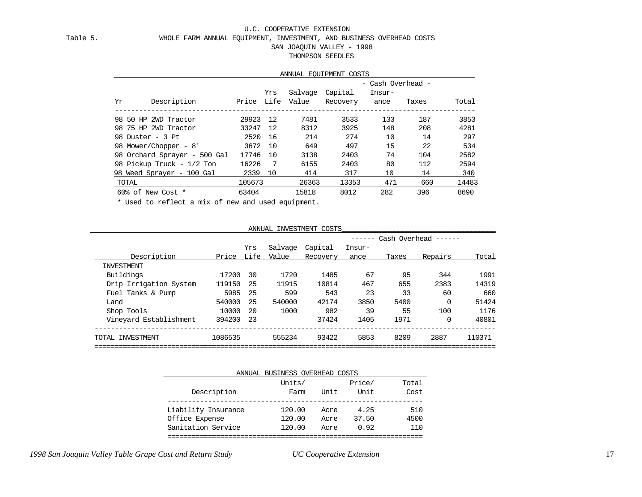#### U.C. COOPERATIVE EXTENSION Table 5. WHOLE FARM ANNUAL EQUIPMENT, INVESTMENT, AND BUSINESS OVERHEAD COSTS SAN JOAQUIN VALLEY - 1998 THOMPSON SEEDLES

### ANNUAL EQUIPMENT COSTS\_\_\_\_\_\_\_\_\_\_\_\_\_\_\_\_\_\_\_\_\_\_\_\_\_\_ - Cash Overhead - Yrs Salvage Capital Insur- Yr Description Price Life Value Recovery ance Taxes Total ----------------------------------------------------------------------------------------- 98 50 HP 2WD Tractor 29923 12 7481 3533 133 187 3853 98 75 HP 2WD Tractor 33247 12 8312 3925 148 208 4281 98 Duster - 3 Pt 2520 16 214 274 10 14 297 98 Mower/Chopper - 8' 3672 10 649 497 15 22 534 98 Orchard Sprayer - 500 Gal 17746 10 3138 2403 74 104 2582 98 Pickup Truck - 1/2 Ton 16226 7 6155 2403 80 112 2594 98 Weed Sprayer - 100 Gal 2339 10 414 317 10 14 340 TOTAL 105673 26363 13353 471 660 14483 60% of New Cost \* 63404 15818 8012 282 396 8690

\* Used to reflect a mix of new and used equipment.

ANNUAL INVESTMENT COSTS\_\_\_\_\_\_\_\_\_\_\_\_\_\_\_\_\_\_\_\_\_\_\_\_\_\_\_\_\_\_\_\_\_\_\_\_\_\_

|                        |         |      |         |          |        |       | Cash Overhead ------ |        |
|------------------------|---------|------|---------|----------|--------|-------|----------------------|--------|
|                        |         | Yrs  | Salvage | Capital  | Insur- |       |                      |        |
| Description            | Price   | Life | Value   | Recovery | ance   | Taxes | Repairs              | Total  |
| INVESTMENT             |         |      |         |          |        |       |                      |        |
| Buildings              | 17200   | 30   | 1720    | 1485     | 67     | 95    | 344                  | 1991   |
| Drip Irrigation System | 119150  | -25  | 11915   | 10814    | 467    | 655   | 2383                 | 14319  |
| Fuel Tanks & Pump      | 5985    | -25  | 599     | 543      | 23     | 33    | 60                   | 660    |
| Land                   | 540000  | -25  | 540000  | 42174    | 3850   | 5400  | 0                    | 51424  |
| Shop Tools             | 10000   | 20   | 1000    | 982      | 39     | 55    | 100                  | 1176   |
| Vineyard Establishment | 394200  | 23   |         | 37424    | 1405   | 1971  | 0                    | 40801  |
| TOTAL INVESTMENT       | 1086535 |      | 555234  | 93422    | 5853   | 8209  | 2887                 | 110371 |
|                        |         |      |         |          |        |       |                      |        |

|                     | ANNUAL BUSINESS OVERHEAD COSTS |      |        |       |
|---------------------|--------------------------------|------|--------|-------|
|                     | Units/                         |      | Price/ | Total |
| Description         | Farm                           | Unit | Unit   | Cost  |
| Liability Insurance | 120.00                         | Acre | 4.25   | 510   |
| Office Expense      | 120.00                         | Acre | 37.50  | 4500  |
| Sanitation Service  | 120.00                         | Acre | 0.92   | 110   |
|                     |                                |      |        |       |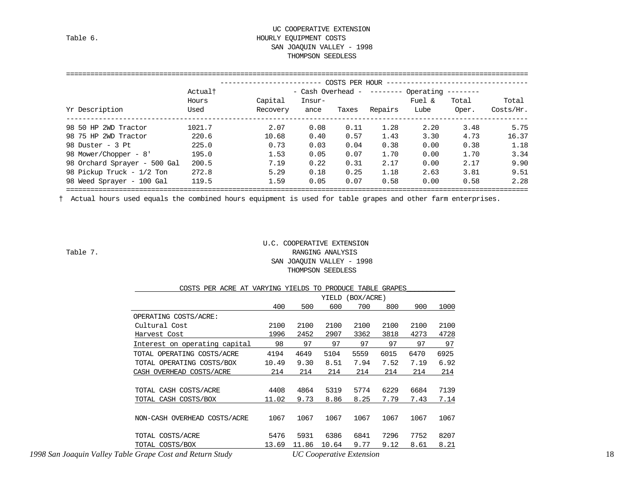#### UC COOPERATIVE EXTENSION Table 6. Table 6. SAN JOAQUIN VALLEY - 1998 THOMPSON SEEDLESS

|                              |         |          |        | COSTS PER HOUR |                             |           |       |           |
|------------------------------|---------|----------|--------|----------------|-----------------------------|-----------|-------|-----------|
|                              | Actualt |          |        |                | $-$ Cash Overhead - $-----$ | Operating |       |           |
|                              | Hours   | Capital  | Insur- |                |                             | Fuel &    | Total | Total     |
| Yr Description               | Used    | Recovery | ance   | Taxes          | Repairs                     | Lube      | Oper. | Costs/Hr. |
| 98 50 HP 2WD Tractor         | 1021.7  | 2.07     | 0.08   | 0.11           | 1.28                        | 2.20      | 3.48  | 5.75      |
| 98 75 HP 2WD Tractor         | 220.6   | 10.68    | 0.40   | 0.57           | 1.43                        | 3.30      | 4.73  | 16.37     |
| 98 Duster - 3 Pt             | 225.0   | 0.73     | 0.03   | 0.04           | 0.38                        | 0.00      | 0.38  | 1.18      |
| 98 Mower/Chopper - 8'        | 195.0   | 1.53     | 0.05   | 0.07           | 1.70                        | 0.00      | 1.70  | 3.34      |
| 98 Orchard Sprayer - 500 Gal | 200.5   | 7.19     | 0.22   | 0.31           | 2.17                        | 0.00      | 2.17  | 9.90      |
| 98 Pickup Truck - 1/2 Ton    | 272.8   | 5.29     | 0.18   | 0.25           | 1.18                        | 2.63      | 3.81  | 9.51      |
| 98 Weed Sprayer - 100 Gal    | 119.5   | 1.59     | 0.05   | 0.07           | 0.58                        | 0.00      | 0.58  | 2.28      |

† Actual hours used equals the combined hours equipment is used for table grapes and other farm enterprises.

#### U.C. COOPERATIVE EXTENSION Table 7. RANGING ANALYSIS SAN JOAQUIN VALLEY - 1998 THOMPSON SEEDLESS

| COSTS PER ACRE AT VARYING YIELDS TO PRODUCE TABLE GRAPES                                               |       |       |                                                      |            |      |      |      |
|--------------------------------------------------------------------------------------------------------|-------|-------|------------------------------------------------------|------------|------|------|------|
|                                                                                                        |       |       | YIELD                                                | (BOX/ACRE) |      |      |      |
|                                                                                                        | 400   | 500   | 600                                                  | 700        | 800  | 900  | 1000 |
| OPERATING COSTS/ACRE:                                                                                  |       |       |                                                      |            |      |      |      |
| Cultural Cost                                                                                          | 2100  | 2100  | 2100                                                 | 2100       | 2100 | 2100 | 2100 |
| Harvest Cost                                                                                           | 1996  | 2452  | 2907                                                 | 3362       | 3818 | 4273 | 4728 |
| Interest on operating capital                                                                          | 98    | 97    | 97                                                   | 97         | 97   | 97   | 97   |
| TOTAL OPERATING COSTS/ACRE                                                                             | 4194  | 4649  | 5104                                                 | 5559       | 6015 | 6470 | 6925 |
| TOTAL OPERATING COSTS/BOX                                                                              | 10.49 | 9.30  | 8.51                                                 | 7.94       | 7.52 | 7.19 | 6.92 |
| CASH OVERHEAD COSTS/ACRE                                                                               | 214   | 214   | 214                                                  | 214        | 214  | 214  | 214  |
|                                                                                                        |       |       |                                                      |            |      |      |      |
| TOTAL CASH COSTS/ACRE                                                                                  | 4408  | 4864  | 5319                                                 | 5774       | 6229 | 6684 | 7139 |
| TOTAL CASH COSTS/BOX                                                                                   | 11.02 | 9.73  | 8.86                                                 | 8.25       | 7.79 | 7.43 | 7.14 |
|                                                                                                        |       |       |                                                      |            |      |      |      |
| NON-CASH OVERHEAD COSTS/ACRE                                                                           | 1067  | 1067  | 1067                                                 | 1067       | 1067 | 1067 | 1067 |
|                                                                                                        |       |       |                                                      |            |      |      |      |
| TOTAL COSTS/ACRE                                                                                       | 5476  | 5931  | 6386                                                 | 6841       | 7296 | 7752 | 8207 |
| TOTAL COSTS/BOX                                                                                        | 13.69 | 11.86 | 10.64                                                | 9.77       | 9.12 | 8.61 | 8.21 |
| $1000$ $S_{\alpha\alpha}$ , Loggiin $Val_{\alpha\alpha}$ Table Cuano Cost and Detum $S_{\alpha\alpha}$ |       |       | $\overline{H}$ $C$ computing $\overline{L}$ utangian |            |      |      |      |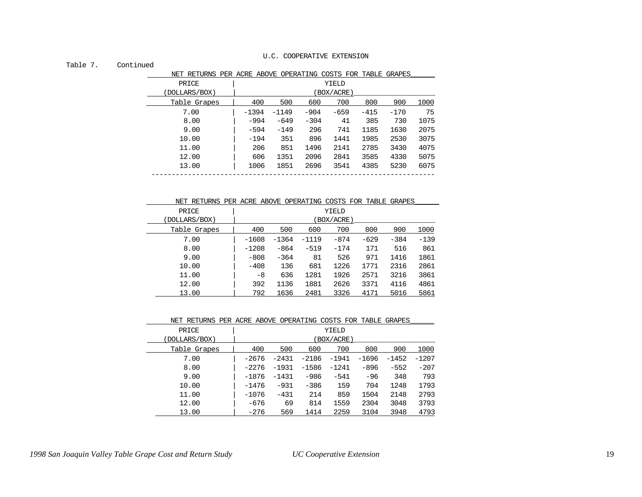#### Table 7. Continued

| NET RETURNS PER ACRE ABOVE OPERATING COSTS FOR TABLE GRAPES |         |         |        |           |        |        |      |
|-------------------------------------------------------------|---------|---------|--------|-----------|--------|--------|------|
| PRICE                                                       |         |         |        | YIELD     |        |        |      |
| (DOLLARS/BOX)                                               |         |         |        | BOX/ACRE) |        |        |      |
| Table Grapes                                                | 400     | 500     | 600    | 700       | 800    | 900    | 1000 |
| 7.00                                                        | $-1394$ | $-1149$ | $-904$ | $-659$    | $-415$ | $-170$ | 75   |
| 8.00                                                        | -994    | $-649$  | $-304$ | 41        | 385    | 730    | 1075 |
| 9.00                                                        | $-594$  | $-149$  | 296    | 741       | 1185   | 1630   | 2075 |
| 10.00                                                       | $-194$  | 351     | 896    | 1441      | 1985   | 2530   | 3075 |
| 11.00                                                       | 206     | 851     | 1496   | 2141      | 2785   | 3430   | 4075 |
| 12.00                                                       | 606     | 1351    | 2096   | 2841      | 3585   | 4330   | 5075 |
| 13.00                                                       | 1006    | 1851    | 2696   | 3541      | 4385   | 5230   | 6075 |
|                                                             |         |         |        |           |        |        |      |

| NET RETURNS PER ACRE ABOVE OPERATING COSTS FOR TABLE GRAPES |         |         |         |           |        |        |        |
|-------------------------------------------------------------|---------|---------|---------|-----------|--------|--------|--------|
| PRICE                                                       |         |         |         | YIELD     |        |        |        |
| (DOLLARS/BOX)                                               |         |         |         | BOX/ACRE) |        |        |        |
| Table Grapes                                                | 400     | 500     | 600     | 700       | 800    | 900    | 1000   |
| 7.00                                                        | $-1608$ | $-1364$ | $-1119$ | $-874$    | $-629$ | $-384$ | $-139$ |
| 8.00                                                        | $-1208$ | $-864$  | $-519$  | $-174$    | 171    | 516    | 861    |
| 9.00                                                        | $-808$  | $-364$  | 81      | 526       | 971    | 1416   | 1861   |
| 10.00                                                       | $-408$  | 136     | 681     | 1226      | 1771   | 2316   | 2861   |
| 11.00                                                       | -8      | 636     | 1281    | 1926      | 2571   | 3216   | 3861   |
| 12.00                                                       | 392     | 1136    | 1881    | 2626      | 3371   | 4116   | 4861   |
| 13.00                                                       | 792     | 1636    | 2481    | 3326      | 4171   | 5016   | 5861   |

#### NET RETURNS PER ACRE ABOVE OPERATING COSTS FOR TABLE GRAPES\_\_\_\_\_\_

| PRICE         | YIELD      |         |         |         |         |         |         |
|---------------|------------|---------|---------|---------|---------|---------|---------|
| (DOLLARS/BOX) | (BOX/ACRE) |         |         |         |         |         |         |
| Table Grapes  | 400        | 500     | 600     | 700     | 800     | 900     | 1000    |
| 7.00          | -2676      | $-2431$ | $-2186$ | $-1941$ | $-1696$ | $-1452$ | $-1207$ |
| 8.00          | -2276      | $-1931$ | $-1586$ | $-1241$ | $-896$  | $-552$  | $-207$  |
| 9.00          | -1876      | $-1431$ | $-986$  | $-541$  | -96     | 348     | 793     |
| 10.00         | -1476      | $-931$  | $-386$  | 159     | 704     | 1248    | 1793    |
| 11.00         | $-1076$    | $-431$  | 214     | 859     | 1504    | 2148    | 2793    |
| 12.00         | $-676$     | 69      | 814     | 1559    | 2304    | 3048    | 3793    |
| 13.00         | $-276$     | 569     | 1414    | 2259    | 3104    | 3948    | 4793    |